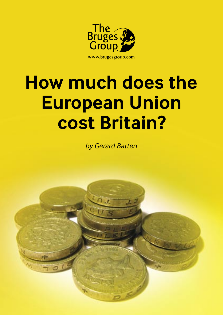

# **How much does the European Union cost Britain?**

*by Gerard Batten*

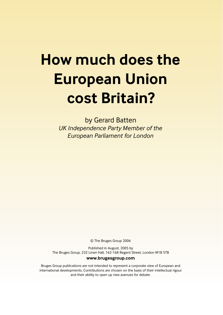## **How much does the European Union cost Britain?**

by Gerard Batten *UK Independence Party Member of the European Parliament for London*

© The Bruges Group 2006

Published in August, 2005 by The Bruges Group, 232 Linen Hall, 162-168 Regent Street, London W1B 5TB **www.brugesgroup.com**

Bruges Group publications are not intended to represent a corporate view of European and international developments. Contributions are chosen on the basis of their intellectual rigour and their ability to open up new avenues for debate.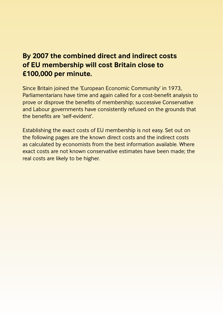#### **By 2007 the combined direct and indirect costs of EU membership will cost Britain close to £100,000 per minute.**

Since Britain joined the 'European Economic Community' in 1973, Parliamentarians have time and again called for a cost-benefit analysis to prove or disprove the benefits of membership; successive Conservative and Labour governments have consistently refused on the grounds that the benefits are 'self-evident'.

Establishing the exact costs of EU membership is not easy. Set out on the following pages are the known direct costs and the indirect costs as calculated by economists from the best information available. Where exact costs are not known conservative estimates have been made; the real costs are likely to be higher.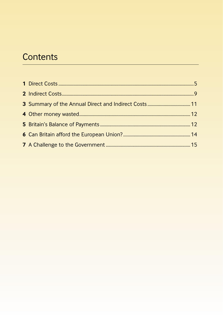## Contents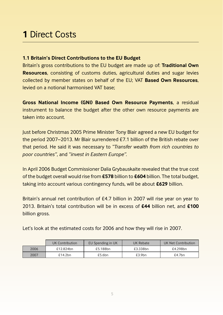### **1** Direct Costs

#### **1.1 Britain's Direct Contributions to the EU Budget**

Britain's gross contributions to the EU budget are made up of: **Traditional Own Resources**, consisting of customs duties, agricultural duties and sugar levies collected by member states on behalf of the EU; VAT **Based Own Resources**, levied on a notional harmonised VAT base;

**Gross National Income (GNI) Based Own Resource Payments**, a residual instrument to balance the budget after the other own resource payments are taken into account.

Just before Christmas 2005 Prime Minister Tony Blair agreed a new EU budget for the period 2007–2013. Mr Blair surrendered £7.1 billion of the British rebate over that period. He said it was necessary to *"Transfer wealth from rich countries to poor countries"*, and *"invest in Eastern Europe".*

In April 2006 Budget Commissioner Dalia Grybauskaite revealed that the true cost of the budget overall would rise from **£578** billion to **£604** billion. The total budget, taking into account various contingency funds, will be about **£629** billion.

Britain's annual net contribution of £4.7 billion in 2007 will rise year on year to 2013. Britain's total contribution will be in excess of **£44** billion net, and **£100** billion gross.

Let's look at the estimated costs for 2006 and how they will rise in 2007.

|      | UK Contribution | EU Spending in UK | UK Rebate | UK Net Contribution |
|------|-----------------|-------------------|-----------|---------------------|
| 2006 | £12.824bn       | £5.188bn          | £3.338bn  | £4.298bn            |
| 2007 | £14.2bn         | £5.6bn            | £3.9bn    | £4.7bn              |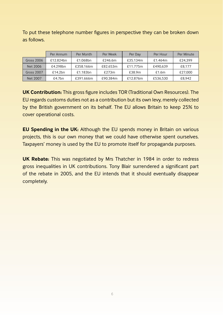To put these telephone number figures in perspective they can be broken down as follows.

|                   | Per Annum | Per Month | Per Week | Per Dav  | Per Hour | Per Minute |
|-------------------|-----------|-----------|----------|----------|----------|------------|
| <b>Gross 2006</b> | £12.824bn | £1.068bn  | £246.6m  | £35.134m | £1.464m  | £24.399    |
| Net 2006          | £4.298bn  | £358.166m | £82.653m | £11.775m | £490.639 | £8.177     |
| <b>Gross 2007</b> | £14.2bn   | £1.183bn  | £273m    | £38.9m   | £1.6m    | £27,000    |
| Net 2007          | £4.7bn    | £391.666m | £90.384m | £12.876m | £536.530 | £8.942     |

**UK Contribution:** This gross figure includes TOR (Traditional Own Resources). The EU regards customs duties not as a contribution but its own levy, merely collected by the British government on its behalf. The EU allows Britain to keep 25% to cover operational costs.

**EU Spending in the UK:** Although the EU spends money in Britain on various projects, this is our own money that we could have otherwise spent ourselves. Taxpayers' money is used by the EU to promote itself for propaganda purposes.

**UK Rebate:** This was negotiated by Mrs Thatcher in 1984 in order to redress gross inequalities in UK contributions. Tony Blair surrendered a significant part of the rebate in 2005, and the EU intends that it should eventually disappear completely.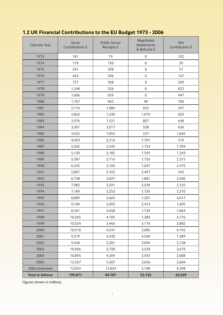| 1.2 UK Financial Contributions to the EU Budget 1973 - 2006 |  |
|-------------------------------------------------------------|--|
|-------------------------------------------------------------|--|

| Calendar Year            | Gross<br>Contributions £ | <b>Public Sector</b><br>Receipts £ | Negotiated<br>Abatements<br>& Refunds £ | <b>Net</b><br>Contribution £ |
|--------------------------|--------------------------|------------------------------------|-----------------------------------------|------------------------------|
| 1973                     | 181                      | 79                                 | $\mathsf{O}\xspace$                     | 102                          |
| 1974                     | 179                      | 150                                | 0                                       | 29                           |
| 1975                     | 341                      | 398                                | 0                                       | 57                           |
| 1976                     | 463                      | 296                                | 0                                       | 167                          |
| 1977                     | 737                      | 368                                | $\mathbf 0$                             | 369                          |
| 1978                     | 1,348                    | 526                                | 0                                       | 822                          |
| 1979                     | 1,606                    | 659                                | $\mathbf 0$                             | 947                          |
| 1980                     | 1,767                    | 963                                | 98                                      | 706                          |
| 1981                     | 2,174                    | 1,084                              | 693                                     | 397                          |
| 1982                     | 2,862                    | 1,240                              | 1,019                                   | 603                          |
| 1983                     | 2,976                    | 1,521                              | 807                                     | 648                          |
| 1984                     | 3,201                    | 2,017                              | 528                                     | 656                          |
| 1985                     | 3,925                    | 1,853                              | 227                                     | 1,845                        |
| 1986                     | 4,493                    | 2,216                              | 1,701                                   | 576                          |
| 1987                     | 5,202                    | 2,345                              | 1,153                                   | 1,704                        |
| 1988                     | 5,120                    | 2,182                              | 1,595                                   | 1,343                        |
| 1989                     | 5,587                    | 2,116                              | 1,156                                   | 2,315                        |
| 1990                     | 6,355                    | 2,183                              | 1,697                                   | 2,475                        |
| 1991                     | 5,807                    | 2,765                              | 2,497                                   | 545                          |
| 1992                     | 6,738                    | 2,827                              | 1,881                                   | 2,030                        |
| 1993                     | 7,985                    | 3,291                              | 2,539                                   | 2,155                        |
| 1994                     | 7,189                    | 3,253                              | 1,726                                   | 2,210                        |
| 1995                     | 8,889                    | 3,665                              | 1,207                                   | 4,017                        |
| 1996                     | 9,109                    | 5,092                              | 2,412                                   | 1,605                        |
| 1997                     | 8,261                    | 4,658                              | 1,739                                   | 1,864                        |
| 1998                     | 10,265                   | 4,105                              | 1,384                                   | 4,776                        |
| 1999                     | 10,524                   | 3,466                              | 3,176                                   | 3,882                        |
| 2000                     | 10,518                   | 4,241                              | 2,085                                   | 4,192                        |
| 2001                     | 9,379                    | 3,430                              | 4,560                                   | 1,389                        |
| 2002                     | 9,438                    | 3,201                              | 3,099                                   | 3,138                        |
| 2003                     | 10,966                   | 3,728                              | 3,559                                   | 3,679                        |
| 2004                     | 10,895                   | 4,294                              | 3,593                                   | 3,008                        |
| 2005                     | 12,567                   | 5,307                              | 3,656                                   | 3,604                        |
| 2006 (estimate)          | 12,824                   | 12,824                             | 5,188                                   | 4,298                        |
| <b>Total in billions</b> | 199.871                  | 84.707                             | 53.125                                  | 62.039                       |

*Figures shown in millions.*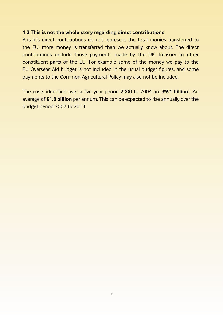#### **1.3 This is not the whole story regarding direct contributions**

Britain's direct contributions do not represent the total monies transferred to the EU: more money is transferred than we actually know about. The direct contributions exclude those payments made by the UK Treasury to other constituent parts of the EU. For example some of the money we pay to the EU Overseas Aid budget is not included in the usual budget figures, and some payments to the Common Agricultural Policy may also not be included.

The costs identified over a five year period 2000 to 2004 are £9.1 billion<sup>1</sup>. An average of **£1.8 billion** per annum. This can be expected to rise annually over the budget period 2007 to 2013.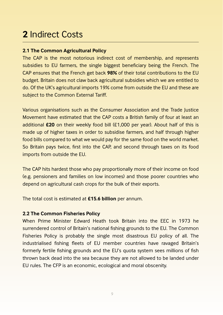### **2** Indirect Costs

#### **2.1 The Common Agricultural Policy**

The CAP is the most notorious indirect cost of membership, and represents subsidies to EU farmers, the single biggest beneficiary being the French. The CAP ensures that the French get back **98%** of their total contributions to the EU budget. Britain does not claw back agricultural subsidies which we are entitled to do. Of the UK's agricultural imports 19% come from outside the EU and these are subject to the Common External Tariff.

Various organisations such as the Consumer Association and the Trade Justice Movement have estimated that the CAP costs a British family of four at least an additional **£20** on their weekly food bill (£1,000 per year). About half of this is made up of higher taxes in order to subsidise farmers, and half through higher food bills compared to what we would pay for the same food on the world market. So Britain pays twice, first into the CAP, and second through taxes on its food imports from outside the EU.

The CAP hits hardest those who pay proportionally more of their income on food (e.g. pensioners and families on low incomes) and those poorer countries who depend on agricultural cash crops for the bulk of their exports.

The total cost is estimated at **£15.6 billion** per annum.

#### **2.2 The Common Fisheries Policy**

When Prime Minister Edward Heath took Britain into the EEC in 1973 he surrendered control of Britain's national fishing grounds to the EU. The Common Fisheries Policy is probably the single most disastrous EU policy of all. The industrialised fishing fleets of EU member countries have ravaged Britain's formerly fertile fishing grounds and the EU's quota system sees millions of fish thrown back dead into the sea because they are not allowed to be landed under EU rules. The CFP is an economic, ecological and moral obscenity.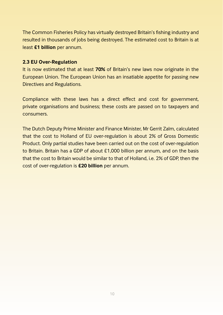The Common Fisheries Policy has virtually destroyed Britain's fishing industry and resulted in thousands of jobs being destroyed. The estimated cost to Britain is at least **£1 billion** per annum.

#### **2.3 EU Over-Regulation**

It is now estimated that at least **70%** of Britain's new laws now originate in the European Union. The European Union has an insatiable appetite for passing new Directives and Regulations.

Compliance with these laws has a direct effect and cost for government, private organisations and business; these costs are passed on to taxpayers and consumers.

The Dutch Deputy Prime Minister and Finance Minister, Mr Gerrit Zalm, calculated that the cost to Holland of EU over-regulation is about 2% of Gross Domestic Product. Only partial studies have been carried out on the cost of over-regulation to Britain. Britain has a GDP of about £1,000 billion per annum, and on the basis that the cost to Britain would be similar to that of Holland, i.e. 2% of GDP, then the cost of over-regulation is **£20 billion** per annum.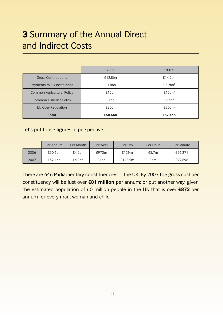### **3** Summary of the Annual Direct and Indirect Costs

|                                   | 2006    | 2007                |
|-----------------------------------|---------|---------------------|
| <b>Gross Contributions</b>        | £12.8bn | £14.2bn             |
| Payments to EU institutions       | £1.8bn  | £2.2bn <sup>2</sup> |
| <b>Common Agricultural Policy</b> | £15bn   | £15bn <sup>3</sup>  |
| <b>Common Fisheries Policy</b>    | £1bn    | £1bn <sup>4</sup>   |
| <b>EU Over-Regulation</b>         | £20bn   | £20bn <sup>5</sup>  |
| <b>Total</b>                      | £50.6bn | £52.4bn             |

Let's put those figures in perspective.

|      | Per Annum | Per Month | Per Week | Per Dav | Per Hour | Per Minute |
|------|-----------|-----------|----------|---------|----------|------------|
| 2006 | £50.6bn   | £4.2bn    | £973m    | £139m   | £5.7m    | £96.271    |
| 2007 | £52.4bn   | £4.3bn    | £1bn     | £143.5m | £6m      | £99.696    |

There are 646 Parliamentary constituencies in the UK. By 2007 the gross cost per constituency will be just over **£81 million** per annum; or put another way, given the estimated population of 60 million people in the UK that is over **£873** per annum for every man, woman and child.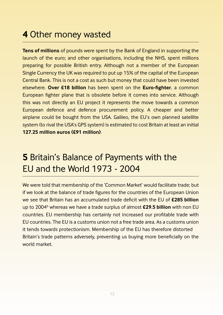### **4** Other money wasted

**Tens of millions** of pounds were spent by the Bank of England in supporting the launch of the euro; and other organisations, including the NHS, spent millions preparing for possible British entry. Although not a member of the European Single Currency the UK was required to put up 15% of the capital of the European Central Bank. This is not a cost as such but money that could have been invested **elsewhere. Over £18 billion** has been spent on the **Euro-fighter**, a common European fighter plane that is obsolete before it comes into service. Although this was not directly an EU project it represents the move towards a common European defence and defence procurement policy. A cheaper and better airplane could be bought from the USA. Galileo, the EU's own planned satellite system (to rival the USA's GPS system) is estimated to cost Britain at least an initial **127.25 million euros (£91 million)**.

### **5** Britain's Balance of Payments with the EU and the World 1973 - 2004

We were told that membership of the 'Common Market' would facilitate trade; but if we look at the balance of trade figures for the countries of the European Union we see that Britain has an accumulated trade deficit with the EU of **£285 billion** up to 20046 whereas we have a trade surplus of almost **£29.5 billion** with non EU countries. EU membership has certainly not increased our profitable trade with EU countries. The EU is a customs union not a free trade area. As a customs union it tends towards protectionism. Membership of the EU has therefore distorted Britain's trade patterns adversely, preventing us buying more beneficially on the world market.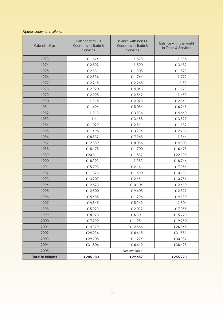#### *Figures shown in millions.*

| Calendar Year            | <b>Balance with EU</b><br>Balance with non EU<br>Countries in Trade &<br>Countries in Trade &<br><b>Services</b><br><b>Services</b> |               | Balance with the world<br>in Trade & Services |  |
|--------------------------|-------------------------------------------------------------------------------------------------------------------------------------|---------------|-----------------------------------------------|--|
| 1973                     | $-E 1,674$                                                                                                                          | £ 678         | -£ 996                                        |  |
| 1974                     | -£ 2,592                                                                                                                            | -£ 590        | $-E$ 3,182                                    |  |
| 1975                     | $-E 2,831$                                                                                                                          | £1,308        | $-E 1,523$                                    |  |
| 1976                     | -£ 2,536                                                                                                                            | £1,764        | -£ 772                                        |  |
| 1977                     | $-E2,215$                                                                                                                           | £ 2,268       | £ 53                                          |  |
| 1978                     | -£ 2,920                                                                                                                            | £4,043        | £1,123                                        |  |
| 1979                     | -£ 2,995                                                                                                                            | £ 2,542       | $-E453$                                       |  |
| 1980                     | £815                                                                                                                                | £ 2,028       | £ 2,843                                       |  |
| 1981                     | £1,694                                                                                                                              | £ 5,054       | £ 6,748                                       |  |
| 1982                     | £813                                                                                                                                | £3.836        | £4.649                                        |  |
| 1983                     | £41                                                                                                                                 | £3,488        | £ 3,529                                       |  |
| 1984                     | -£ 1,029                                                                                                                            | £ 2,511       | £1,482                                        |  |
| 1985                     | $-E 1,496$                                                                                                                          | £3,734        | £ 2,238                                       |  |
| 1986                     | -£ 8,832                                                                                                                            | £7,968        | $-E864$                                       |  |
| 1987                     | $-E12,889$                                                                                                                          | £8.086        | $-E4,803$                                     |  |
| 1988                     | $-E18,175$                                                                                                                          | £1,700        | $-£16,475$                                    |  |
| 1989                     | $-E20,811$                                                                                                                          | -£1,587       | $-E22,398$                                    |  |
| 1990                     | $-E18,393$                                                                                                                          | $-E$ 353      | $-£18,746$                                    |  |
| 1991                     | -£ 5,793                                                                                                                            | $-E 2,161$    | -£ 7,954                                      |  |
| 1992                     | $-E11,823$                                                                                                                          | £1,690        | $-E10,133$                                    |  |
| 1993                     | $-E13,207$                                                                                                                          | £ 2,451       | $-£10,756$                                    |  |
| 1994                     | $-E12,523$                                                                                                                          | £10,104       | $-E 2,419$                                    |  |
| 1995                     | $-E12,500$                                                                                                                          | £9,608        | -£ 2,892                                      |  |
| 1996                     | $-E 5,485$                                                                                                                          | £1,296        | $-E4,189$                                     |  |
| 1997                     | $-E4,845$                                                                                                                           | £ 5,349       | £ 504                                         |  |
| 1998                     | -£ 5,923                                                                                                                            | $-E 2,032$    | -£ 7,955                                      |  |
| 1999                     | -£ 8,928                                                                                                                            | $-E 6,301$    | $-E15,229$                                    |  |
| 2000                     | -£ 7,299                                                                                                                            | $-£11,951$    | $-E19,250$                                    |  |
| 2001                     | $-E14,379$                                                                                                                          | $-£12,566$    | $-E26,945$                                    |  |
| 2002                     | $-E24,936$                                                                                                                          | $-E 6,615$    | $-£31,551$                                    |  |
| 2003                     | $-E29,708$                                                                                                                          | $-E 1,274$    | $-E30,982$                                    |  |
| 2004                     | $-E31,806$                                                                                                                          | $-E 6,619$    | $-E38,425$                                    |  |
| 2005                     |                                                                                                                                     | Not available |                                               |  |
| <b>Total in billions</b> | $-£285.180$                                                                                                                         | £29.457       | $-£255.723$                                   |  |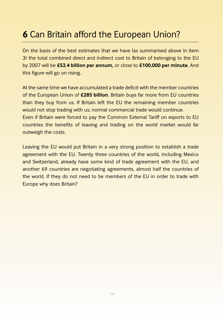### **6** Can Britain afford the European Union?

On the basis of the best estimates that we have (as summarised above in item 3) the total combined direct and indirect cost to Britain of belonging to the EU by 2007 will be **£52.4 billion per annum,** or close to **£100,000 per minute**. And this figure will go on rising.

At the same time we have accumulated a trade deficit with the member countries of the European Union of **£285 billion**. Britain buys far more from EU countries than they buy from us. If Britain left the EU the remaining member countries would not stop trading with us; normal commercial trade would continue.

Even if Britain were forced to pay the Common External Tariff on exports to EU countries the benefits of leaving and trading on the world market would far outweigh the costs.

Leaving the EU would put Britain in a very strong position to establish a trade agreement with the EU. Twenty three countries of the world, including Mexico and Switzerland, already have some kind of trade agreement with the EU, and another 69 countries are negotiating agreements, almost half the countries of the world. If they do not need to be members of the EU in order to trade with Europe why does Britain?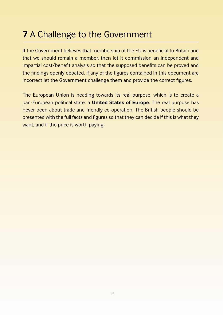### **7** A Challenge to the Government

If the Government believes that membership of the EU is beneficial to Britain and that we should remain a member, then let it commission an independent and impartial cost/benefit analysis so that the supposed benefits can be proved and the findings openly debated. If any of the figures contained in this document are incorrect let the Government challenge them and provide the correct figures.

The European Union is heading towards its real purpose, which is to create a pan-European political state: a **United States of Europe**. The real purpose has never been about trade and friendly co-operation. The British people should be presented with the full facts and figures so that they can decide if this is what they want, and if the price is worth paying.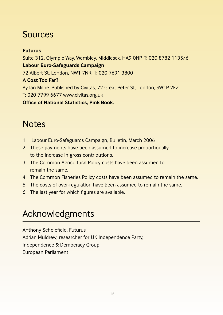### Sources

#### **Futurus**

Suite 312, Olympic Way, Wembley, Middlesex, HA9 0NP. T: 020 8782 1135/6 **Labour Euro-Safeguards Campaign** 72 Albert St, London, NW1 7NR. T: 020 7691 3800 **A Cost Too Far?** By Ian Milne. Published by Civitas, 72 Great Peter St, London, SW1P 2EZ. T: 020 7799 6677 www.civitas.org.uk **Office of National Statistics, Pink Book.** 

### **Notes**

- 1 Labour Euro-Safeguards Campaign, Bulletin, March 2006
- 2 These payments have been assumed to increase proportionally to the increase in gross contributions.
- 3 The Common Agricultural Policy costs have been assumed to remain the same.
- 4 The Common Fisheries Policy costs have been assumed to remain the same.
- 5 The costs of over-regulation have been assumed to remain the same.
- 6 The last year for which figures are available.

### Acknowledgments

Anthony Scholefield, Futurus Adrian Muldrew, researcher for UK Independence Party, Independence & Democracy Group, European Parliament